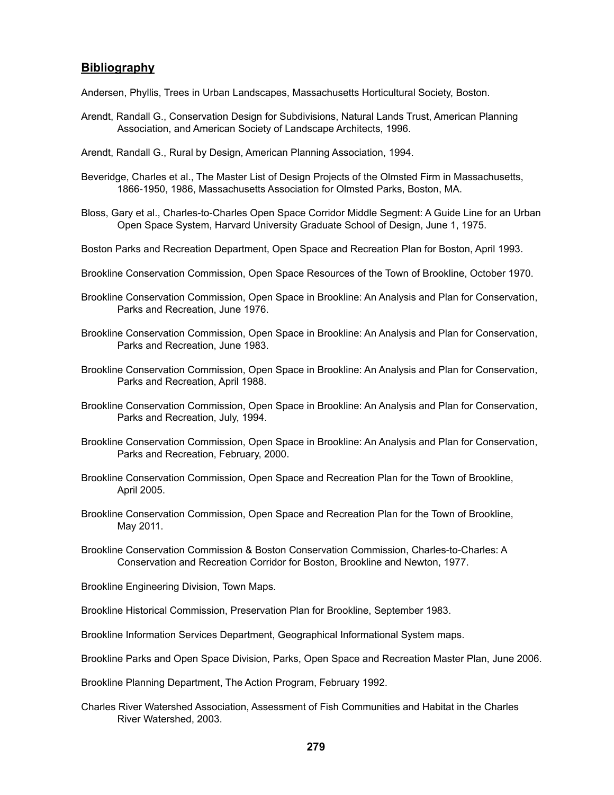## **Bibliography**

Andersen, Phyllis, Trees in Urban Landscapes, Massachusetts Horticultural Society, Boston.

Arendt, Randall G., Conservation Design for Subdivisions, Natural Lands Trust, American Planning Association, and American Society of Landscape Architects, 1996.

Arendt, Randall G., Rural by Design, American Planning Association, 1994.

- Beveridge, Charles et al., The Master List of Design Projects of the Olmsted Firm in Massachusetts, 1866-1950, 1986, Massachusetts Association for Olmsted Parks, Boston, MA.
- Bloss, Gary et al., Charles-to-Charles Open Space Corridor Middle Segment: A Guide Line for an Urban Open Space System, Harvard University Graduate School of Design, June 1, 1975.
- Boston Parks and Recreation Department, Open Space and Recreation Plan for Boston, April 1993.
- Brookline Conservation Commission, Open Space Resources of the Town of Brookline, October 1970.
- Brookline Conservation Commission, Open Space in Brookline: An Analysis and Plan for Conservation, Parks and Recreation, June 1976.
- Brookline Conservation Commission, Open Space in Brookline: An Analysis and Plan for Conservation, Parks and Recreation, June 1983.
- Brookline Conservation Commission, Open Space in Brookline: An Analysis and Plan for Conservation, Parks and Recreation, April 1988.
- Brookline Conservation Commission, Open Space in Brookline: An Analysis and Plan for Conservation, Parks and Recreation, July, 1994.
- Brookline Conservation Commission, Open Space in Brookline: An Analysis and Plan for Conservation, Parks and Recreation, February, 2000.
- Brookline Conservation Commission, Open Space and Recreation Plan for the Town of Brookline, April 2005.
- Brookline Conservation Commission, Open Space and Recreation Plan for the Town of Brookline, May 2011.
- Brookline Conservation Commission & Boston Conservation Commission, Charles-to-Charles: A Conservation and Recreation Corridor for Boston, Brookline and Newton, 1977.
- Brookline Engineering Division, Town Maps.
- Brookline Historical Commission, Preservation Plan for Brookline, September 1983.
- Brookline Information Services Department, Geographical Informational System maps.
- Brookline Parks and Open Space Division, Parks, Open Space and Recreation Master Plan, June 2006.

Brookline Planning Department, The Action Program, February 1992.

Charles River Watershed Association, Assessment of Fish Communities and Habitat in the Charles River Watershed, 2003.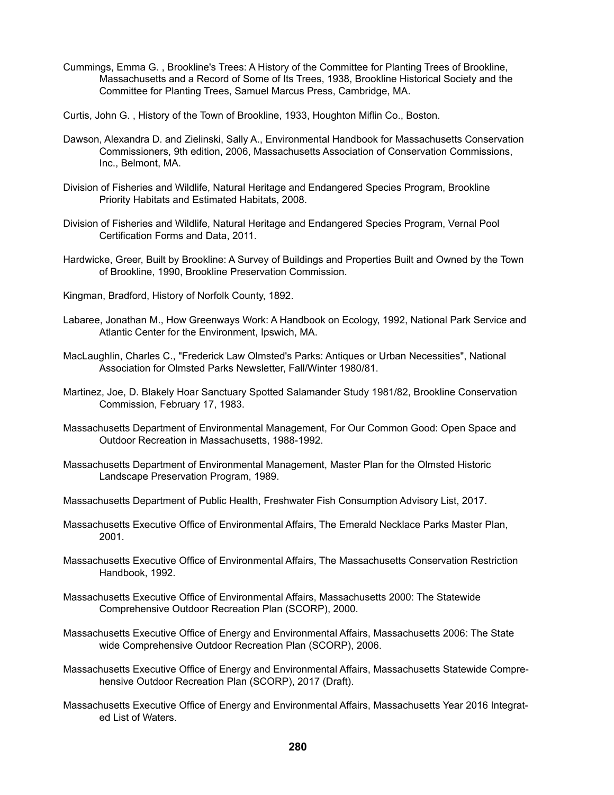- Cummings, Emma G. , Brookline's Trees: A History of the Committee for Planting Trees of Brookline, Massachusetts and a Record of Some of Its Trees, 1938, Brookline Historical Society and the Committee for Planting Trees, Samuel Marcus Press, Cambridge, MA.
- Curtis, John G. , History of the Town of Brookline, 1933, Houghton Miflin Co., Boston.
- Dawson, Alexandra D. and Zielinski, Sally A., Environmental Handbook for Massachusetts Conservation Commissioners, 9th edition, 2006, Massachusetts Association of Conservation Commissions, Inc., Belmont, MA.
- Division of Fisheries and Wildlife, Natural Heritage and Endangered Species Program, Brookline Priority Habitats and Estimated Habitats, 2008.
- Division of Fisheries and Wildlife, Natural Heritage and Endangered Species Program, Vernal Pool Certification Forms and Data, 2011.
- Hardwicke, Greer, Built by Brookline: A Survey of Buildings and Properties Built and Owned by the Town of Brookline, 1990, Brookline Preservation Commission.
- Kingman, Bradford, History of Norfolk County, 1892.
- Labaree, Jonathan M., How Greenways Work: A Handbook on Ecology, 1992, National Park Service and Atlantic Center for the Environment, Ipswich, MA.
- MacLaughlin, Charles C., "Frederick Law Olmsted's Parks: Antiques or Urban Necessities", National Association for Olmsted Parks Newsletter, Fall/Winter 1980/81.
- Martinez, Joe, D. Blakely Hoar Sanctuary Spotted Salamander Study 1981/82, Brookline Conservation Commission, February 17, 1983.
- Massachusetts Department of Environmental Management, For Our Common Good: Open Space and Outdoor Recreation in Massachusetts, 1988-1992.
- Massachusetts Department of Environmental Management, Master Plan for the Olmsted Historic Landscape Preservation Program, 1989.
- Massachusetts Department of Public Health, Freshwater Fish Consumption Advisory List, 2017.
- Massachusetts Executive Office of Environmental Affairs, The Emerald Necklace Parks Master Plan, 2001.
- Massachusetts Executive Office of Environmental Affairs, The Massachusetts Conservation Restriction Handbook, 1992.
- Massachusetts Executive Office of Environmental Affairs, Massachusetts 2000: The Statewide Comprehensive Outdoor Recreation Plan (SCORP), 2000.
- Massachusetts Executive Office of Energy and Environmental Affairs, Massachusetts 2006: The State wide Comprehensive Outdoor Recreation Plan (SCORP), 2006.
- Massachusetts Executive Office of Energy and Environmental Affairs, Massachusetts Statewide Comprehensive Outdoor Recreation Plan (SCORP), 2017 (Draft).
- Massachusetts Executive Office of Energy and Environmental Affairs, Massachusetts Year 2016 Integrated List of Waters.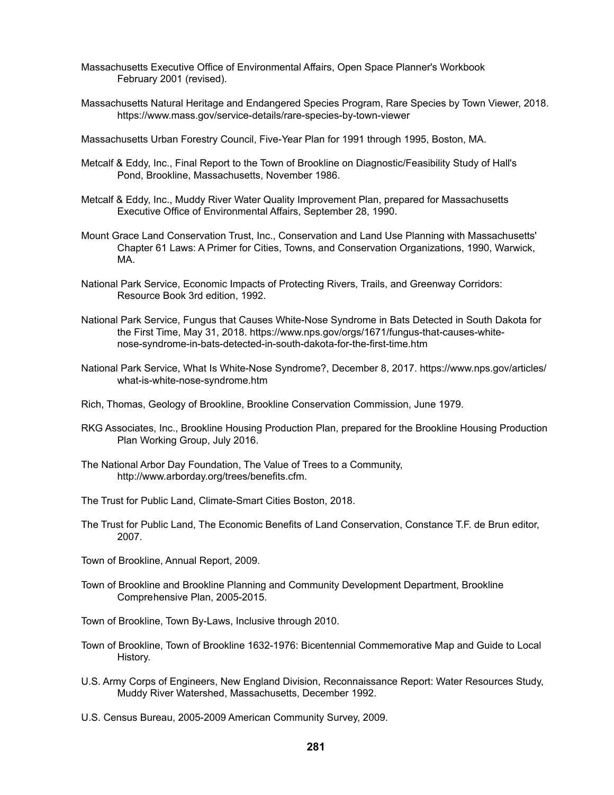- Massachusetts Executive Office of Environmental Affairs, Open Space Planner's Workbook February 2001 (revised).
- Massachusetts Natural Heritage and Endangered Species Program, Rare Species by Town Viewer, 2018. https://www.mass.gov/service-details/rare-species-by-town-viewer
- Massachusetts Urban Forestry Council, Five-Year Plan for 1991 through 1995, Boston, MA.
- Metcalf & Eddy, Inc., Final Report to the Town of Brookline on Diagnostic/Feasibility Study of Hall's Pond, Brookline, Massachusetts, November 1986.
- Metcalf & Eddy, Inc., Muddy River Water Quality Improvement Plan, prepared for Massachusetts Executive Office of Environmental Affairs, September 28, 1990.
- Mount Grace Land Conservation Trust, Inc., Conservation and Land Use Planning with Massachusetts' Chapter 61 Laws: A Primer for Cities, Towns, and Conservation Organizations, 1990, Warwick, MA.
- National Park Service, Economic Impacts of Protecting Rivers, Trails, and Greenway Corridors: Resource Book 3rd edition, 1992.
- National Park Service, Fungus that Causes White-Nose Syndrome in Bats Detected in South Dakota for the First Time, May 31, 2018. https://www.nps.gov/orgs/1671/fungus-that-causes-whitenose-syndrome-in-bats-detected-in-south-dakota-for-the-first-time.htm
- National Park Service, What Is White-Nose Syndrome?, December 8, 2017. https://www.nps.gov/articles/ what-is-white-nose-syndrome.htm
- Rich, Thomas, Geology of Brookline, Brookline Conservation Commission, June 1979.
- RKG Associates, Inc., Brookline Housing Production Plan, prepared for the Brookline Housing Production Plan Working Group, July 2016.
- The National Arbor Day Foundation, The Value of Trees to a Community, http://www.arborday.org/trees/benefits.cfm.
- The Trust for Public Land, Climate-Smart Cities Boston, 2018.
- The Trust for Public Land, The Economic Benefits of Land Conservation, Constance T.F. de Brun editor, 2007.
- Town of Brookline, Annual Report, 2009.
- Town of Brookline and Brookline Planning and Community Development Department, Brookline Comprehensive Plan, 2005-2015.
- Town of Brookline, Town By-Laws, Inclusive through 2010.
- Town of Brookline, Town of Brookline 1632-1976: Bicentennial Commemorative Map and Guide to Local History.
- U.S. Army Corps of Engineers, New England Division, Reconnaissance Report: Water Resources Study, Muddy River Watershed, Massachusetts, December 1992.
- U.S. Census Bureau, 2005-2009 American Community Survey, 2009.